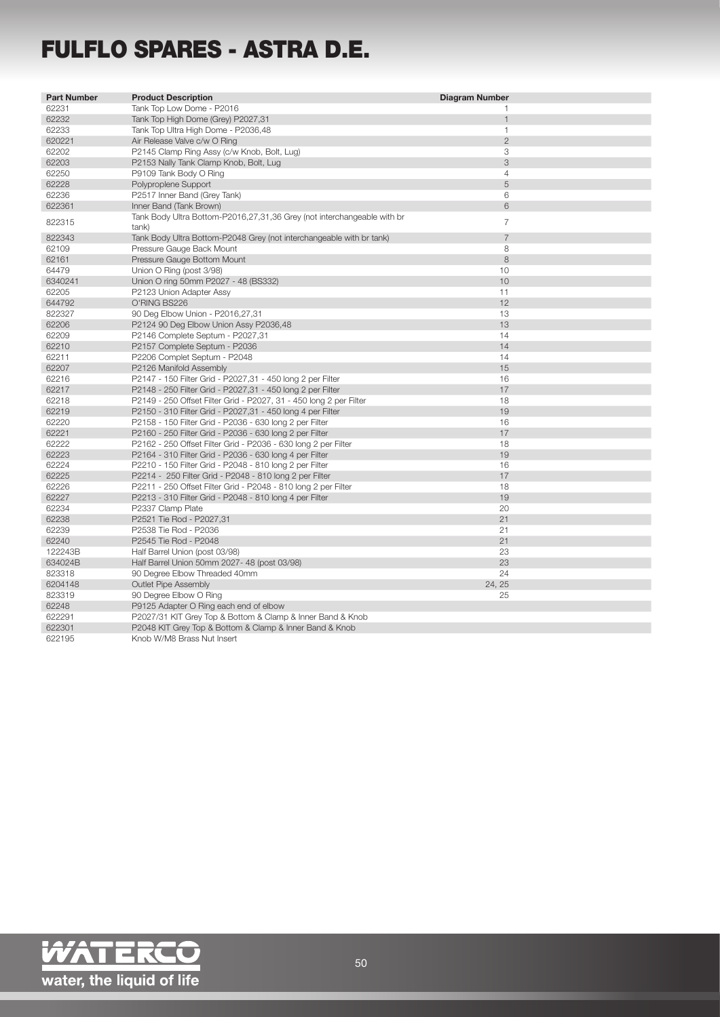## FULFLO SPARES - ASTRA D.E.

| <b>Part Number</b> | <b>Product Description</b>                                                       | <b>Diagram Number</b> |
|--------------------|----------------------------------------------------------------------------------|-----------------------|
| 62231              | Tank Top Low Dome - P2016                                                        |                       |
| 62232              | Tank Top High Dome (Grey) P2027,31                                               | $\mathbf{1}$          |
| 62233              | Tank Top Ultra High Dome - P2036,48                                              | $\mathbf{1}$          |
| 620221             | Air Release Valve c/w O Ring                                                     | $\overline{2}$        |
| 62202              | P2145 Clamp Ring Assy (c/w Knob, Bolt, Lug)                                      | 3                     |
| 62203              | P2153 Nally Tank Clamp Knob, Bolt, Lug                                           | 3                     |
| 62250              | P9109 Tank Body O Ring                                                           | $\overline{4}$        |
| 62228              | Polyproplene Support                                                             | 5                     |
| 62236              | P2517 Inner Band (Grey Tank)                                                     | 6                     |
| 622361             | Inner Band (Tank Brown)                                                          | 6                     |
| 822315             | Tank Body Ultra Bottom-P2016,27,31,36 Grey (not interchangeable with br<br>tank) | $\overline{7}$        |
| 822343             | Tank Body Ultra Bottom-P2048 Grey (not interchangeable with br tank)             | $\overline{7}$        |
| 62109              | Pressure Gauge Back Mount                                                        | 8                     |
| 62161              | Pressure Gauge Bottom Mount                                                      | 8                     |
| 64479              | Union O Ring (post 3/98)                                                         | 10                    |
| 6340241            | Union O ring 50mm P2027 - 48 (BS332)                                             | 10                    |
| 62205              | P2123 Union Adapter Assy                                                         | 11                    |
| 644792             | O'RING BS226                                                                     | 12                    |
| 822327             | 90 Deg Elbow Union - P2016,27,31                                                 | 13                    |
| 62206              | P2124 90 Deg Elbow Union Assy P2036,48                                           | 13                    |
| 62209              | P2146 Complete Septum - P2027,31                                                 | 14                    |
| 62210              | P2157 Complete Septum - P2036                                                    | 14                    |
| 62211              | P2206 Complet Septum - P2048                                                     | 14                    |
| 62207              | P2126 Manifold Assembly                                                          | 15                    |
| 62216              | P2147 - 150 Filter Grid - P2027,31 - 450 long 2 per Filter                       | 16                    |
| 62217              | P2148 - 250 Filter Grid - P2027,31 - 450 long 2 per Filter                       | 17                    |
| 62218              | P2149 - 250 Offset Filter Grid - P2027, 31 - 450 long 2 per Filter               | 18                    |
| 62219              | P2150 - 310 Filter Grid - P2027,31 - 450 long 4 per Filter                       | 19                    |
| 62220              | P2158 - 150 Filter Grid - P2036 - 630 long 2 per Filter                          | 16                    |
| 62221              | P2160 - 250 Filter Grid - P2036 - 630 long 2 per Filter                          | 17                    |
| 62222              | P2162 - 250 Offset Filter Grid - P2036 - 630 long 2 per Filter                   | 18                    |
| 62223              | P2164 - 310 Filter Grid - P2036 - 630 long 4 per Filter                          | 19                    |
| 62224              | P2210 - 150 Filter Grid - P2048 - 810 long 2 per Filter                          | 16                    |
| 62225              | P2214 - 250 Filter Grid - P2048 - 810 long 2 per Filter                          | 17                    |
| 62226              | P2211 - 250 Offset Filter Grid - P2048 - 810 long 2 per Filter                   | 18                    |
| 62227              | P2213 - 310 Filter Grid - P2048 - 810 long 4 per Filter                          | 19                    |
| 62234              | P2337 Clamp Plate                                                                | 20                    |
| 62238              | P2521 Tie Rod - P2027,31                                                         | 21                    |
| 62239              | P2538 Tie Rod - P2036                                                            | 21                    |
| 62240              | P2545 Tie Rod - P2048                                                            | 21                    |
| 122243B            | Half Barrel Union (post 03/98)                                                   | 23                    |
| 634024B            | Half Barrel Union 50mm 2027- 48 (post 03/98)                                     | 23                    |
| 823318             | 90 Degree Elbow Threaded 40mm                                                    | 24                    |
| 6204148            | Outlet Pipe Assembly                                                             | 24, 25                |
| 823319             | 90 Degree Elbow O Ring                                                           | 25                    |
| 62248              | P9125 Adapter O Ring each end of elbow                                           |                       |
| 622291             | P2027/31 KIT Grey Top & Bottom & Clamp & Inner Band & Knob                       |                       |
| 622301             | P2048 KIT Grey Top & Bottom & Clamp & Inner Band & Knob                          |                       |
| 622195             | Knob W/M8 Brass Nut Insert                                                       |                       |